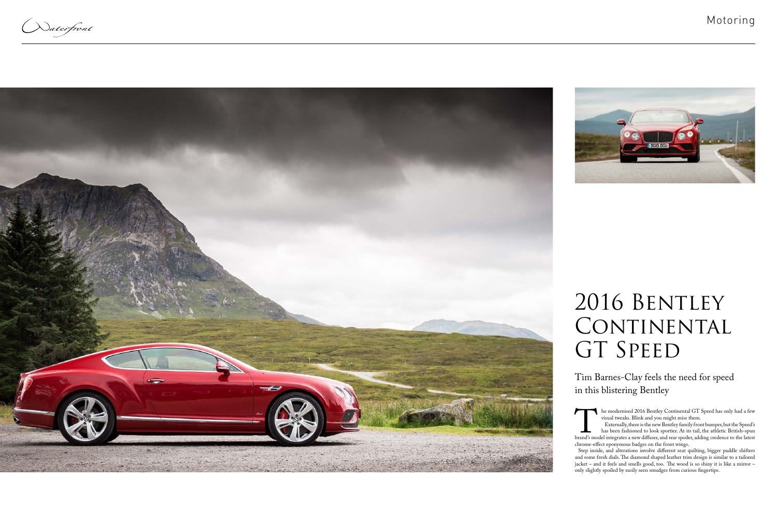Naterfront





## 2016 BENTLEY CONTINENTAL GT SPEED

visual tweaks. Blink and you might miss them.

The modernised 2016 Bentley Continental GT Speed has only had a few<br>visual tweaks. Blink and you might miss them.<br>Externally, there is the new Bentley family front bumper, but the Speed's<br>has been fashioned to look sportie Externally, there is the new Bentley family front bumper, but the Speed's has been fashioned to look sportier. At its tail, the athletic British-spun brand's model integrates a new diffuser, and rear spoiler, adding credence to the latest chrome-effect eponymous badges on the front wings.

Step inside, and alterations involve different seat quilting, bigger paddle shifters and some fresh dials. The diamond shaped leather trim design is similar to a tailored jacket – and it feels and smells good, too. The wood is so shiny it is like a mirror – only slightly spoiled by easily seen smudges from curious fingertips.

Tim Barnes-Clay feels the need for speed in this blistering Bentley